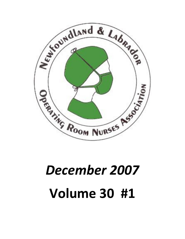

# December 2007 Volume 30 #1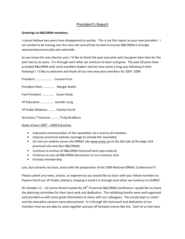## President's Report

## Greetings to N&LORNA members,

I cannot believe two years have disappeared so quickly. This is my first report as your new president. I am excited to be moving into this new role and will do my best to ensure N&LORNA is strongly represented provincially and nationally.

As you know this was election year, I'd like to thank the past executive who has given their time for the past two to six years. It is through each other we continue to learn and grow. The past 28 years have provided N&LORNA with some excellent leaders and we have come a long way following in their footsteps! I'd like to welcome and thank all our new executive members for 2007 -2009.

President …………………. Corenia Price President-Elect …………... Margot Walsh Past President ……………. Susan Pardy VP Education …………….. Jennifer Long VP Public Relations ……… Pauline Parrill Secretary / Treasurer …….... Trudy Bradbury

## Goals of your 2007 – 2009 Executive:

- Improved communication of the newsletter via e-mail to all members.
- Improve provincial website coverage to include the newsletter
- (to visit our website access the ORNAC site www.ornac.ca on the left side of the page click provincial site and then N&LORNA).
- Continue to archive all N&LORNA historical hard copy material
- Continue to scan all N&LORNA documents on to a memory stick
- Increase membership

Last, but certainly not least, assist with the preparation of the 2009 National ORNAC Conference!!!!

Please submit any news, articles, or experiences you would like to share with your fellow members to Pauline Parrill our VP-Public relations, keeping in mind it is through each other we continue to LEARN!!

On October 11 – 13 Corner Brook hosted the 28<sup>th</sup> Provincial N&LORNA Conference I would like to thank the planning committee for their hard work and dedication. The exhibiting booths were well organized and provided us with some great information to share with our colleagues. The socials kept us rockin' and the education sessions were phenomenal. It is through the hard work and dedication of our members that we are able to come together and put off fantastic events like this. Each of us that have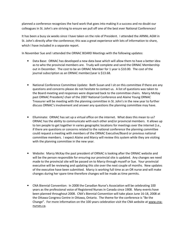planned a conference recognizes the hard work that goes into making it a success and no doubt our colleagues in St. John's are striving to ensure we pull off one of the best ever National Conferences!

It has been a busy six weeks since I have taken on the role of President. I attended the ARNNL AGM in St. John's directly after the conference; this was a great experience with lots of information to share, which I have included in a separate report.

In November Sue and I attended the ORNAC BOARD Meetings with the following updates:

- Data Base: ORNAC has developed a new data base which will allow them to have a better idea as to who the provincial members are. Trudy will complete and send the ORNAC Membership out in December. The cost to be an ORNAC Member for 1 year is \$10.00. The cost of the journal subscription as an ORNAC member/year is \$13.68.
- National Conference Committee Update: Both Susan and I sit on this committee if there are any questions and concerns please do not hesitate to contact us. A list of questions was taken to the Board meeting and responses were dispersed back to the committee chairs. Marcy McKay past ORNAC President/ chair of the 2007 National Conference and Alaine Young ORNAC Treasurer will be meeting with the planning committee in St. John's in the new year to further discuss ORNAC's involvement and answer any questions the planning committee may have.
- Elluminate: ORNAC has set up a virtual office on the internet. What does this mean to us? ORNAC has the ability to communicate with each other and/or provincial members. It allows up to ten people to get together in varies geographic locations for meetings over the internet (i.e., if there are questions or concerns related to the national conference the planning committee could request a meeting with members of the ORNAC Executive/Board or previous national committee members. I expect Alaine and Marcy will review this system while they are visiting with the planning committee in the new year.
- Website: Marcy McKay the past president of ORNAC is looking after the ORNAC website and will be the person responsible for ensuring our provincial site is updated. Any changes we need made to the provincial site will be passed on to Marcy through myself or Sue. Your provincial executive will be reviewing and updating this site over the next couple of months. New updates of the executive have been submitted. Marcy is working full time as an OR nurse and will make changes during her spare time therefore changes will be made as time permits.
- CNA Biennial Convention: In 2008 the Canadian Nurse's Association will be celebrating 100 years as the professional voice of Registered Nurses in Canada since 1908. Many events have been planned throughout 2008. CNA's Biennial Convention will take place June 16-18, 2008 at the Ottawa Congress Centre in Ottawa, Ontario. The theme for the conference is "Be the Change". For more information on the 100 years celebration visit the CNA website at www.cnanurses.ca.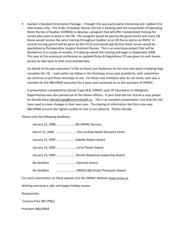• Quebec's Standard Orientation Package: I thought this was particularly interesting and I added it for information only. The Order of Quebec Nurses (O11Q) is working with the Corporation of Operating Room Nurses of Quebec (CORNQ) to develop a program that will offer standardized training for nurses who want to work in the OR. This program would be paid by the government and every OR Nurse would receive the same training throughout Quebec as an OR Nurse and as an RNFA! A second nursing permit will be given by the O11Q and would specify that these nurses would be specialized as Perioperative Surgical Assistant Nurses. This is an enormous project that will be decided on in a couple of months, if it does go ahead the training will begin in September 2008. This year at the provincial conference an updated Rules & Regulations CD was given to each liaison person to take back to their local membership.

On behalf of the past executive I'd like to thank Lynn Anderson for her time and work in helping Angi complete this CD. I said earlier we follow in the footsteps of our past presidents, well, sometimes we continue to put those footsteps to use. For those new members who do not know, Lynn was a member for the N&LORNA executive for 6 years and continued on as the secretary of ORNAC.

A presentation completed by Glenda Tapp (N & LORNA's past VP Education) on Malignant Hyperthermia was also passed out to the liaison officers. If your local did not receive a copy please let Glenda know Glenda.tapp@easternhealth.ca. This is an excellent presentation, one that the LHC have used to make changes in their own area. The sharing of information like this is one way N&LORNA ensures the highest quality of care to our patients. Thanks Glenda.

Please note the following deadlines:

|             | January 15, 2008  J&J ORNAC Bursary                |  |
|-------------|----------------------------------------------------|--|
|             | March 15, 2008  The Cardinal Health Research Grant |  |
|             | January 15, 2009  Isabelle Adams Award             |  |
|             | January 15, 2009  Lorna Flower Award               |  |
|             | January 15, 2009  Muriel Shewchuk Leadership Award |  |
|             |                                                    |  |
| No deadline | ORNAC/J&J/Drake Thompson Award                     |  |
|             |                                                    |  |

For more information on these awards visit the ORNAC Website www.ornac.ca.

Wishing everyone a safe and happy holiday season.

Respectively,

Corenia Price RN CPN(c)

President N&LORNA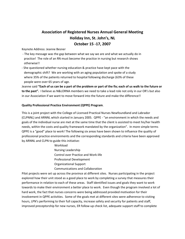# Association of Registered Nurses Annual General Meeting Holiday Inn, St. John's, NL October 15 -17, 2007

Keynote Address: Jeanne Besner

- The key message was the gap between what we say we are and what we actually do in practice! The role of an RN must become the practice in nursing but research shows otherwise!!
- She questioned whether nursing education & practice have kept pace with the demographic shift? We are working with an aging population and spoke of a study where 35% of the patients returned to hospital following discharge (63% of these people were over 65 years of age.

Jeanne said "Each of us can be a part of the problem or part of the fix; each of us walk to the future or to the past". I believe as N&LORNA members we need to take a lead role not only in our OR's but also in our Association if we want to move forward into the future and make the difference!!

## Quality Professional Practice Environment (QPPE) Program.

This is a joint project with the College of Licensed Practical Nurses Newfoundland and Labrador (CLPNNL) and ARNNL which started in January 2005. QPPE - "an environment in which the needs and goals of the individual nurse are met at the same time that the client is assisted to meet his/her health needs, within the costs and quality framework mandated by the organization". In more simple terms QPPE is a "good" place to work! The following six areas have been shown to influence the quality of professional practice environments and the corresponding standards and criteria have been approved by ARNNL and CLPN to guide this initiative:

> Workload Nursing Leadership Control over Practice and Work-life Professional Development Organizational Support Communications and Collaboration

Pilot projects were set up across the province at different sites. Nurses participating in the project explored how their unit stood as a good place to work by completing a survey that measures their performance in relation to each of these areas. Staff identified issues and goals they want to work towards to make their environment a better place to work. Even though the program involved a lot of hard work, the fact that nurses concerns were being addressed provided motivation for their involvement in QPPE activities. Some of the goals met at different sites were adherence to visiting hours, LPN's performing to their full capacity, increase safety and security for patients and staff, improved preceptorship for new nurses, ER follow-up check list, adequate support staff to complete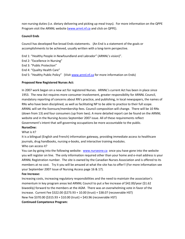non-nursing duties (i.e. dietary delivering and picking up meal trays). For more information on the QPPE Program visit the ARNNL website (www.arnnl.nf.ca and click on QPPE).

## Council Ends

Council has developed five broad Ends statements. (An End is a statement of the goals or accomplishments to be achieved, usually written with a long-term perspective.

End 1: "Healthy People in Newfoundland and Labrador" (ARNNL's vision)". End 2: "Excellence in Nursing" End 3: "Public Protection"

End 4: "Quality Health Care"

End 5: "Healthy Public Policy" (Visit www.arnnl.nf.ca for more information on Ends)

## Proposed New Registered Nurses Act:

In 2007 work began on a new act for registered Nurses. ARNNL's current Act has been in place since 1953. The new Act requires more consumer involvement, greater responsibility for ARNNL Council, mandatory reporting of concerns about RN's practice, and publishing, in local newspapers, the names of RNs who have been disciplined, as well as facilitating NP to be able to practice to their full scope. ARNNL will set the licensure/membership fees. Council composition will change. There will be 10 RNs (down from 13) and four consumers (up from two). A more detailed report can be found on the ARNNL website and in the Nursing Access September 2007 issue. All of these requirements reflect Government's intent that self-governing occupations be more accountable to the public.

#### NurseOne:

What is it?

It is a bilingual (English and French) information gateway, providing immediate access to healthcare journals, drug handbooks, nursing e-books, and interactive training modules.

## Who can access it?

You can by going into the following website: www.nurseone.ca once you have gone into the website you will register on line. The only information required other than your home and e-mail address is your ARNNL Registration number. The site is owned by the Canadian Nurses Association and is offered to its members at no cost. Try it you will be amazed at what the site has to offer!! (For more information see your September 2007 Issue of Nursing Access page 16 & 17).

#### Fee Increase:

Increasing costs, increasing regulatory responsibilities and the need to maintain the association's momentum in key program areas led ARNNL Council to put a fee increase of \$42.00/year (\$1.62 biweekly) forward to the members at the AGM. There was an overwhelming vote in favor of the increase. Current Fee \$322.00 (\$273.93 + 10.00 (trust) + \$38.07 (recoverable HST) New Fee \$370.00 (\$315.93 + \$10.00 (trust) + \$43.96 (recoverable HST)

#### Continued Competence Program: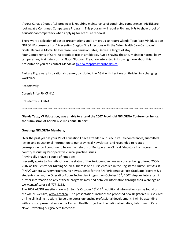Across Canada 9 out of 13 provinces is requiring maintenance of continuing competence. ARNNL are looking at a Continued Competence Program. This program will require RNs and NPs to show proof of educational competency when applying for licensure renewal.

There were a selection of poster presentations and I am proud to report Glenda Tapp (past VP Education N&LORNA) presented on "Preventing Surgical Site Infections with the Safer Health Care Campaign". Goals: Decrease Mortality, Decrease Re-admission rates, Decrease length of stay. Four Components of Care: Appropriate use of antibiotics, Avoid shaving the site, Maintain normal body temperature, Maintain Normal Blood Glucose. If you are interested in knowing more about this presentation you can contact Glenda at glenda.tapp@easternhealth.ca.

Barbara Fry, a very inspirational speaker, concluded the AGM with her take on thriving in a changing workplace.

Respectively,

Corenia Price RN CPN(c)

President N&LORNA

Glenda Tapp, VP Education, was unable to attend the 2007 Provincial N&LORNA Conference, hence, the submission of her 2006-2007 Annual Report.

~~~~~~~~~~~~~~~~~~~~~~~~~~~~~~~~~~~~~~~~~~~~~~~~~~~~~~~~~~~~~~~~~~~~~~~~~~~~~~~~~~~~~

## Greetings N&LORNA Members,

Over the past year as your VP of Education I have attended our Executive Teleconferences, submitted letters and educational information to our provincial Newsletter, and responded to related correspondence. I continue to be on the network of Perioperative Clinical Educators from across the country discussing Perioperative clinical practice issues.

Provincially I have a couple of notations:

I recently spoke to Fran Abbott on the status of the Perioperative nursing courses being offered 2006- 2007 at The Centre for Nursing Studies. There is one nurse enrolled in the Registered Nurse First Assist (RNFA) General Surgery Program, no new students for the RN Perioperative Post Graduate Program & 6 students starting the Operating Room Technician Program on October 15<sup>th</sup>, 2007. Anyone interested in further information on any of these programs may find detailed information through their webpage at www.cns.nf.ca or call 777-8162.

The 2007 ARNNL meetings are in St. John's October  $15^{th}$ -17<sup>th</sup>. Additional information can be found on the ARRNL website, www.arnnl.ca. The presentations include: the proposed new Registered Nurses Act; on line clinical instruction; Nurse one portal enhancing professional development. I will be attending with a poster presentation on our Eastern Health project on the national initiative, Safer Health Care Now: Preventing Surgical Site Infections.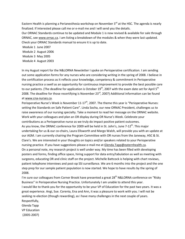Eastern Health is planning a Perianesthesia workshop on November 3<sup>rd</sup> at the HSC. The agenda is nearly finalized. If interested please call me or e-mail me and I will send you the details. Our ORNAC Standards continue to be updated and Module 1 is now revised & available for sale through ORNAC, see www.ornac.ca. I am listing a breakdown of the modules & when they were last updated. Check your ORNAC Standards manual to ensure it is up to date. Module 1 June 2007 Module 2 August 2006

 Module 3 May 2005 Module 4 August 2003

In my August report for the N&LORNA Newsletter I spoke on Perioperative certification. I am sending out some application forms for any nurses who are considering writing in the spring of 2008. I believe in the certification process as it reflects your knowledge, competency & commitment in Perioperative nursing practice a swell as an opportunity for continuous improvement to provide the best possible care to our patients. (The deadline for application is October  $19<sup>th</sup>$ , 2007 with the exam date set for April  $5<sup>th</sup>$ 2008. The deadline for those recertifying is November 23 $^{rd}$ , 2007) Additional information can be found at www.cna-nurses.ca.

Perioperative Nurse's Week is November  $11-17<sup>th</sup>$ , 2007. The theme this year is "Perioperative Nurses: setting the Standards on Safe Patient Care". Linda Socha, our new ORNAC President, challenges us to raise awareness of our nursing specialty. Take a moment to read her message on the ORNAC website. Work with your colleagues and plan an OR display during OR Nurse's Week. Celebrate your contributions as a Perioperative nurse as we truly do impact positive patient outcomes. As you know, the ORNAC conference for 2009 will be held in St. John's, June  $7-12<sup>th</sup>$ . This major undertaking for us & our co-chairs, Laura Ellsworth and Margo Walsh, will provide you with an update at our AGM. I am currently chairing the Program Committee with OR nurses from the Janeway, HSC & St. Clare's. We are interested in your thoughts on topics and/or speakers related to your Perioperative nursing practice. If you have suggestions please e-mail me at Glenda.Tapp@eaternhealth.ca. On a personal note, my research project is well under way. My time has been filled with developing posters and forms, finding office space, hiring support for data entry/tabulation as well as meeting with surgeons, educating OR and clinic staff on the project. Michelle Battcock is helping with chart reviews, patient telephone interviews and post-op SSI surveillance. We are 6 months into the project and the one step prep for our sample patient population is now started. We hope to have results by the spring of 2008.

I'm sure our colleagues from Corner Brook have presented a great  $28<sup>th</sup>$  N&LORNA conference on "Risky Business" in Perioperative Nursing Practice. Unfortunately I am unable to attend this year. I would like to thank-you for the opportunity to be your VP of Education for the past two years. It was a great experience. Angi, Sue. Corenia, Ena and Ann, it was a pleasure to work with you. I will not be seeking re-election (though rewarding), as I have many challenges in the next couple of years. Respectfully, Glenda Tapp VP Education (2005-2007)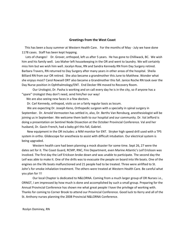#### Greetings from the West Coast

 This has been a busy summer at Western Health Care. For the months of May - July we have done 1178 cases. Staff has been kept hopping.

 Lots of changes! Dr. Grover, orthopod, left us after 5 years. He has gone to Chilliwack, BC. We wish him and his family well. Leo Maher left housekeeping in the OR and went to laundry. We will certainly miss him but we wish him well. Jocelyn Rose, RN and Sandra Kennedy RN from Day Surgery retired. Barbara Travers, RN returned to Day Surgery after many years in other areas of the hospital. Sheila Billiard RN from our OR retired. She also became a grandmother this June to Matthew. Wonder what she enjoys most? Carol Rowsell ORT also became a Grandmother this fall. Janice Roche RN took over the Day Nurse position in Ophthalmology/ENT. End Decker RN moved to Recovery Room.

 Our Urologist, Dr. Pasha is working and on call every day he is in the city, so if anyone has a "spare" Urologist they don't need, send him/her our way!

We are also seeing new faces in a few doctors.

Dr. Carl Kennedy, orthopod, visits us on a fairly regular basis as locum.

 We are expecting Dr. Joseph Keno, Orthopedic surgeon with a specialty in spinal surgery in September. Dr. Arnold Vermooten has settled in, also, Dr. Berths Van Rensburg, anesthesiologist will be joining us in September. We welcome them both to our hospital and our community. Dr. Val Jefford is doing a presentation on Sentinel Node Dissection at the October Provincial Conference. Val and her husband, Dr. Gavin French, had a baby girl this fall, Gabriel.

 New equipment in the OR includes: a NIM monitor for ENT. Stryker high speed drill used with a TPS system in ortho. Glidescope for anesthesia to assist with difficult intubation. Our electrical system is being upgraded.

 Western health care had been planning a mock disaster for some time. Sept 26, 27 were the dates set for it. The Coast Guard, RCMP, RNC, Fire Department, even Marine Atlantic's Leif Erickson was involved. The first day the Leif Erickson broke down and was unable to participate. The second day the Leif was able to make it. One of the drills was to evacuate the people on board into life boats. One of the engines on the life boats malfunctioned and 21 people had to be treated. Three were airlifted to St. John's for smoke inhalation treatment. The others were treated at Western Health Care. Be careful what you plan for !!!

 Our local Chapter is dedicated to N&LORNA. Coming from a much larger group of OR Nurses i.e., ORNGT, I am impressed by how much is done and accomplished by such a small group. Preparing for the Annual Provincial Conference has shown me what great people I have the privilege of working with. Thanks for coming to Corner Brook to attend our Provincial Conference. Good luck to Kerry and all of the St. Anthony nurses planning the 2008 Provincial N&LORNA Conference.

Roslyn Dominey, RN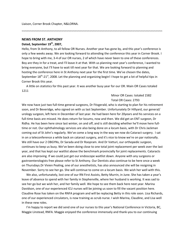Liaison, Corner Brook Chapter, N&LORNA.

#### NEWS FROM ST. ANTHONY

## Dated, September 19<sup>th</sup>, 2007,

Hello, from St Anthony, to all fellow OR Nurses. Another year has gone by, and this year's conference is only a few weeks away. We are looking forward to attending the conference this year in Corner Brook. I hope to bring with me, 3-4 of our OR nurses, 2 of which have never been to one of these conferences. Boy are they in for a treat, and I'll leave it at that. With us planning next year's conference, I wanted to bring everyone, but I'll have to wait till next year for that. We are looking forward to planning and hosting the conference here in St Anthony next year for the first time. We've chosen the dates, September  $18^{th}$ -21<sup>st</sup>, 2008. Let the planning and organizing begin! I hope to get a lot of helpful tips in Corner Brook this year.

~~~~~~~~~~~~~~~~~~~~~~~~~~~~~~~~~~~~~~~~~~~~~~~~~~~~~~~~~~~~~~~~~~~~~~~~~~~~~~~~~~~~~

 A little on statistics for this past year. It was another busy year for our OR. Main OR Cases totaled 1211

## Minor OR Cases: totaled 1582 Total OR Cases: 2793

We now have just two full-time general surgeons, Dr Fitzgerald, who is starting to plan for his retirement soon, and Dr Beveridge, who signed on with us last September. Unfortunately Dr Hillyard, our general/ urology surgeon, left here in December of last year. He had been here for 20years and his services on a full-time basis are missed. He does return for locums, now and then. We did get an ENT surgeon, Dr Ridha. He has been here since last winter, on and off, and is still deciding whether he'll move here fulltime or not. Our ophthalmology services are also being done on a locum basis, with Dr Chris Jackman coming out of St John's regularly. We've come a long way in the way we now do Cataract surgery. I sat in on a teleconference a while back on cataract surgery, and it's nice to know we're on par nationally. We still have our 2 OBGYNs, Dr Sarada and Dr Roopram. And Dr Vatturi, our orthopedic surgeon, continues to keep us busy. We've been doing close to one total joint replacement per week over the last year, and that has kept our waitlist above the benchmark provincially for joint replacements. Cataracts are also improving. If we could just get our endoscope waitlist down. Anyone with any surgeons or gastroenterologists free please refer to St Anthony. Our Dentists also continue to be here once a week on Thursdays.Dr Vivien Pealing, one of our anesthetists, has also announced she will be resigning in November. Sorry to see her go. She will continue to come on a locum basis. We wish her well with this.

 We also, unfortunately, lost one of our RN First Assists, Betty Murrin, in June. She has taken a year's leave of absence to spend with her family in Stephenville, where her husband is working. It was sad to see her go but we wish her, and her family well. We hope to see them back here next year. Marina Davidson, one of our experienced ICU nurses will be joining us soon to fill the vacant position here. Claudine Rose has taken on the RNFA program and will be replacing Betty in this role soon. Lisa Richards, one of our experienced circulators, is now training as scrub nurse. I wish Marina, Claudine, and Lisa well in these new roles.

 I'm happy to report we did send one of our nurses to this year's National Conference in Victoria, BC, Maggie Linstead, RNFA. Maggie enjoyed the conference immensely and thank-you to our continuing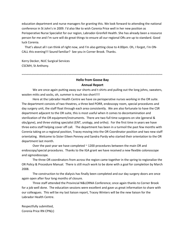education department and nurse managers for granting this. We look forward to attending the national conference in St John's in 2009. I'd also like to wish Corenia Price well in her new position as Perioperative Nurse Specialist for our region, Labrador-Grenfell Health. She has already been a resource person for me and I'm sure will do great things to ensure all our regional ORs are up to standard. Good luck Corenia.

 That's about all I can think of right now, and I'm also getting close to 4:00pm. Oh, I forgot, I'm ON-CALL this evening!!! Sound familiar? See you in Corner Brook. Thanks.

Kerry Decker, NUC Surgical Services CSCMH, St Anthony.

# ~~~~~~~~~~~~~~~~~~~~~~~~~~~~~~~~~~~~~~~~~~~~~~~~~~~~~~~~~~~~~~~~~~~~~~~~~~~~~~~~~~~~~ Hello from Goose Bay

#### Annual Report

We are once again putting away our shorts and t-shirts and pulling out the long johns, sweaters, woolen mitts and socks, oh, summer is much too short!!!!

Here at the Labrador Health Centre we have six perioperative nurses working in the OR suite. The department consists of two theatres, a three bed PORR, endoscopy room, special procedures and day surgery unit, the staff float through each area consistently. We are also fortunate to have the CSR department adjacent to the OR suite, this is most useful when it comes to decontamination and sterilization of the OR equipment/instruments. There are two full time surgeons on site (general & obs/gyne), and three visiting specialist (ENT, urology, and ortho). For the first time in years we have three extra staff helping cover off call. The department has been in a turmoil the past few months with Corenia taking on a regional position, Tracey moving into the OR Coordinator position and two new staff orientating. Welcome to Sister Eileen Penney and Sandra Pardy who started their orientation to the OR department last month.

Over the past year we have completed  $\sim$  1200 procedures between the main OR and endoscopy/special procedures. Thanks to the IGA grant we have received a new flexible colonoscope and sigmoidoscope.

 The three OR coordinators from across the region came together in the spring to regionalize the OR Policy & Procedure Manual. There is still much work to be done with a goal for completion by March 2008.

 The construction to the dialysis has finally been completed and our day surgery doors are once again open after four long months of closure.

 Three staff attended the Provincial N&LORNA Conference; once again thanks to Corner Brook for a job well done. The education sessions were excellent and gave us great information to share with our colleagues. This will be my last liaison report, Tracey Winters will be the new liaison for the Labrador Health Centre.

Respectfully submitted, Corenia Price RN CPN(c)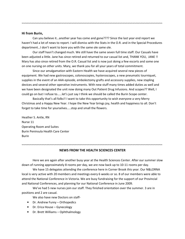#### Hi from Burin,

Can you believe it…another year has come and gone???? Since the last year end report we haven't had a lot of news to report. I will dismiss with the Stats in the O.R. and in the Special Procedures department…I don't want to bore you with the same ole same ole.

~~~~~~~~~~~~~~~~~~~~~~~~~~~~~~~~~~~~~~~~~~~~~~~~~~~~~~~~~~~~~~~~~~~~~~~~~~~~~~~~~~~~~

 Our staff hasn't changed much. We still have the same seven full time staff. Our Casuals have been adjusted a little. Jane has since retired and returned to our casual list and, THANK YOU, JANE !! Mary has also since retired from the O.R. Casual list and is now just doing a few escorts and some one on one nursing on other units. Mary, we thank you for all your years of total commitment.

 Since our amalgamation with Eastern Health we have acquired several new pieces of equipment. We had new gastroscopes, colonoscopies, hysteroscopes, a new pneumatic tourniquet, supplies in the event of an AAA episode, embolectomy grafts and accessory supplies, new stapling devices and several other operative instruments. With new stuff many times added duties as well and we have been designated the unit now doing many Out Patient Drug Infusions. And scopes?? Well, I could go on but I refuse to……let's just say I think we should be called the Burin Scope center.

 Basically that's all folks!! I want to take this opportunity to wish everyone a very Merry Christmas and a Happy New Year. I hope the New Year brings joy, health and happiness to all. Don't forget to take time for yourselves…..stop and small the flowers.

Heather S. Antle, RN Nurse 11 Operating Room and Suites Burin Peninsula Health Care Center Burin

## ~~~~~~~~~~~~~~~~~~~~~~~~~~~~~~~~~~~~~~~~~~~~~~~~~~~~~~~~~~~~~~~~~~~~~~~~~~~~~~~~~~~~~ NEWS FROM THE HEALTH SCIENCES CENTER

Here we are again after another busy year at the Health Sciences Center. After our summer slow down of running approximately 8 rooms per day, we are now back up to 10-11 rooms per day.

 We have 15 delegates attending the conference here in Corner Brook this year. Our N&LORNA local is very active with 20 members and meetings every 6 weeks or so. 8 of our members were able to attend the National Conference in Victoria. We are busy fundraising for the support of our Provincial and National Conferences, and planning for our National Conference in June 2009.

 We've had 5 new nurses join our staff. They finished orientation over the summer. 3 are in positions and 2 are casual.

We also have new Doctors on staff-

- Dr. Andrew Furey Orthopedics
- Dr. Erica House Gynecology
- Dr. Brett Williams Ophthalmology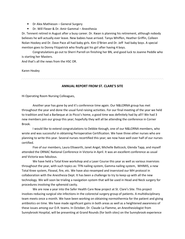- Dr Alex Mathieson General Surgery
- Dr. Will Flexer & Dr. Amir Gammal Anesthesia

Dr. Tennent retired in August after a busy career. Dr. Kwan is planning his retirement, although nobody believes he will actually ever leave. New babies have arrived. Tanya Whiffen, Heather Griffin, Colleen Nolan Hookey and Dr. Dave Pace all had baby girls. Kim O'Brien and Dr. Jeff had baby boys. A special mention goes to Donny Fitzpatrick who finally got his girl after having 4 boys.

 Congratulations go out to Sherri Parrell on finishing her BN, and good luck to Joanne Peddle who is starting her Masters.

And that's all the news from the HSC OR.

#### Karen Healey

## ANNUAL REPORT FROM ST. CLARE'S SITE

Hi Operating Room Nursing Colleagues,

Another year has gone by and it's conference time again. Our N&LORNA group has met throughout the year and done the usual fund raising activities. For our final meeting of the year we held to tradition and had a Barbeque at Jo Picco's home, a good time was definitely had by all!! We had 3 new members join our group this year; hopefully they will all be attending the conference in Corner Brook.

I would like to extend congratulations to Debbie Keough, one of our N&LORNA members, who wrote and was successful in obtaining Perioperative Certification. We have three other nurses who are planning to write this year. Several nurses recertified this year; we now have well over half of our nurses certified.

Five of our members, Laura Ellsworth, Janet Angel, Michelle Battcock, Glenda Tapp, and myself attended the ORNAC National Conference in Victoria in April. It was an excellent conference as usual and Victoria was fabulous.

We have held a Total Knee workshop and a Laser Course this year as well as various inservices throughout the year, with such topics as: TFN nailing system, Gamma nailing system, WHIMIS, a new Total Knee system, Floseal, fire, etc. We have also revamped and inserviced our MH protocol in collaboration with the Anesthesia Dept. It has been a challenge to try to keep up with all the new technology. We will soon be trialing a navigation system that will be used in Head and Neck surgery for procedures involving the sphenoid cavity.

We are now a year into the Safer Health Care Now project at St. Clare's Site. This project involves reducing surgical site infections in the colorectal surgery group of patients. A multidisciplinary team meets once a month. We have been working on obtaining normothermia for the patient and giving antibiotics on time. We have made significant gains in both areas as well as a heightened awareness of these issues among our O.R. teams. In October, Dr. Claude La Flamme, an Anesthesiologist from Sunnybrook Hospital, will be presenting at Grand Rounds (for both sites) on the Sunnybrook experience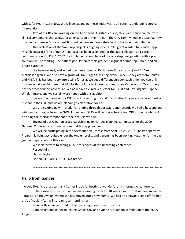with Safer Health Care Now. We will be expanding these initiatives to all patients undergoing surgical intervention.

Two of our RTs are working on the Anesthesia Assistant course, this is a distance course, with clinical component, that allows for an expansion of their roles in the O.R. Tammy Peddle Gosse has now qualified and Jessie Cox is almost finished her course. Congratulations to both on their initiative.

The evaluation of the Skin Prep project is ongoing (the ORNAC grant warded to Glenda Tapp. Michele Battcock (one of our O.R. nurses) has been seconded for the data collection and patient communication. On Pct. 1, 2007 the implementation phase of the one step (just painting with a prep solution) will be starting. The patient population for this project is inguinal hernia, lap. Chole, and all breast surgeries.

We have recently welcomed two new surgeons, Dr. Andrew Furey (ortho.) and Dr.Alex Mathieson (gen.). We also have a group of Oral surgeons visiting every 6 weeks (they are from Halifax and N.B.). This has been very interesting for us as we get a different surgeon each time (you can only imagine what a night mare that is!!) Jo Shortall, patient care coordinator for Vascular and Oral surgery, has spearheaded this adventure. We now have a clinical educator for PARR and Day Surgery, Daphne Whalen-Brake, and we certainly are happy with this addition.

Beverly Davis, one of our ORT's, will be retiring the end of Oct. after 40 years of service, most of it spent in the O.R. and we are planning a celebration for her.

We are continuing with students rotating through our O.R.'s and recently we had a husband and wife team visiting us from the NWT. In Jan., our ORT's will be preceptoring two ORT students who will be doing the clinical component of their course with us.

Several of our O.R. nurses are participating on various planning committees for the 2009 National Conference, and we can see that fast approaching.

We will be participating in the Accreditation Process from Sept. 23-28, 2007. The Perioperative Program is being accredited under the one umbrella, and a team has been working together for the past year in preparation for this event.

We look forward to seeing all our colleagues at the upcoming conference.

Respectfully Shirley Taylor Liaison, St. Clare's, N&LORNA Branch.

## Hello from Gander:

I would like, first of all, to thank Corner Brook for hosting a wonderful and informative conference.

Ruth Edison, who has worked in our operating room for 18 years, has now retired and moved to Paradise, on the Avalon, where she has moved into a new home. We had an enjoyable send off for her at Sue Mouland's. I will sure miss tormenting her.

~~~~~~~~~~~~~~~~~~~~~~~~~~~~~~~~~~~~~~~~~~~~~~~~~~~~~~~~~~~~~~~~~~~~~~~~~~~~~~

Jennifer Rice has returned to the operating room from obstetrics.

Congratulations to Regina Young, Sheila Guy and Yvonne Morgan on completion of the RNFA Program.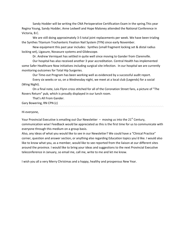Sandy Hodder will be writing the CNA Perioperative Certification Exam in the spring.This year Regina Young, Sandy Hodder, Anne Ledwell and Hope Maloney attended the National Conference in Victoria, B.C.

We are still doing approximately 3-5 total joint replacements per week. We have been trialing the Synthes Titanium Trochanteric Fixation Nail System (TFN) since early November.

New equipment this past year includes: Synthes (small fragment locking set & distal radius locking set), Ligasure, Novasure systems and Glidescope.

Dr. Andrew Verniquet has settled in quite well since moving to Gander from Clarenville.

Our hospital has also received another 3 year accreditation. Central Health has implemented some Safer Healthcare Now initiatives including surgical site infection. In our hospital we are currently monitoring outcomes for Total Hip Surgeries.

Our Time-out Program has been working well as evidenced by a successful audit report.

Every six weeks or so, on a Wednesday night, we meet at a local club (Legends) for a social (Wing Night).

On a final note, Lois Flynn cross stitched for all of the Coronation Street fans, a picture of "The Rovers Return" pub, which is proudly displayed in our lunch room.

That's All From Gander.

Gary Bowering, RN CPN (c)

Hi everyone,

Your Provincial Executive is emailing out Our Newsletter – moving us into the  $21<sup>st</sup>$  Century, communication wise! Feedback would be appreciated as this is the first time for us to communicate with everyone through this medium on a group basis.

Also, any ideas of what you would like to see in our Newsletter? We could have a "Clinical Practice" corner, question and answer section, or anything else regarding Education topics you'd like. I would also like to know what you, as a member, would like to see reported from the liaison at our different sites around the province. I would like to bring your ideas and suggestions to the next Provincial Executive teleconference in January, so email me, call me, write to me and let me know.

I wish you all a very Merry Christmas and a happy, healthy and prosperous New Year.